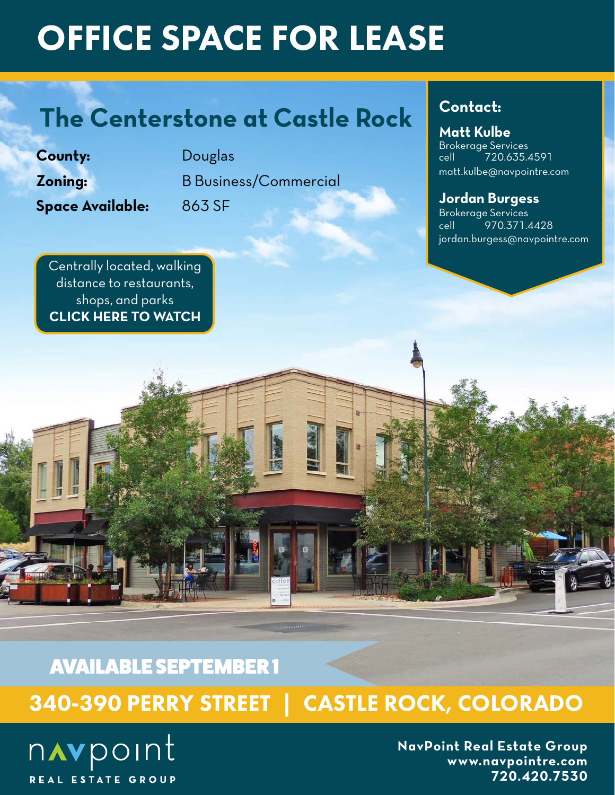# OFFICE SPACE FOR LEASE

# **The Centerstone at Castle Rock**

**County:** Douglas

**Space Available:** 863 SF

**Zoning:** B Business/Commercial

### **Contact:**

### **Matt Kulbe**

Brokerage Services cell 720.635.4591 matt.kulbe@navpointre.com

### **Jordan Burgess**

Brokerage Services cell 970.371.4428 jordan.burgess@navpointre.com

[Centrally located, walking](https://vimeo.com/423699742/7311845c6f)  distance to restaurants, shops, and parks **CLICK HERE TO WATCH**

AVAILABLE SEPTEMBER 1

340-390 PERRY STREET | CASTLE ROCK, COLORADO

navpoint REAL ESTATE GROUP

**NavPoint Real Estate Group www.navpointre.com 720.420.7530**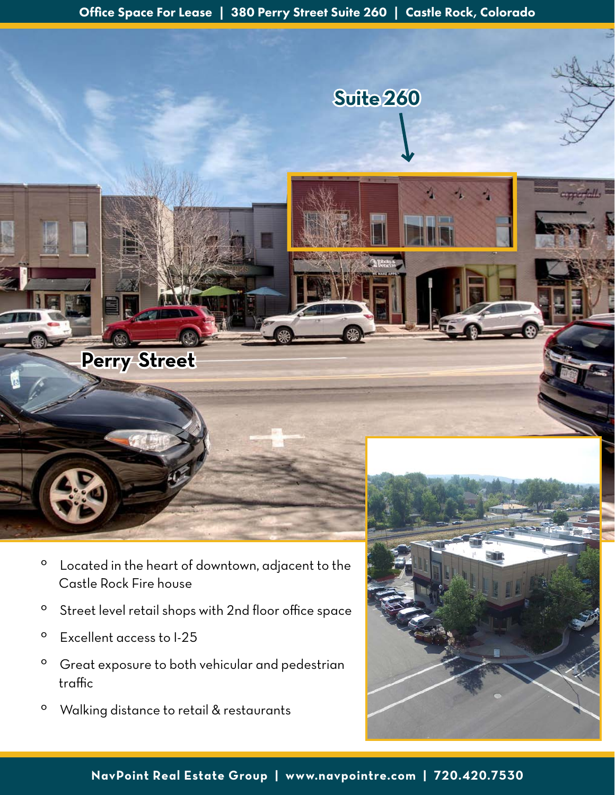**Suite 260**

- º Located in the heart of downtown, adjacent to the Castle Rock Fire house
- º Street level retail shops with 2nd floor office space
- º Excellent access to I-25

**Perry Street**

- º Great exposure to both vehicular and pedestrian traffic
- º Walking distance to retail & restaurants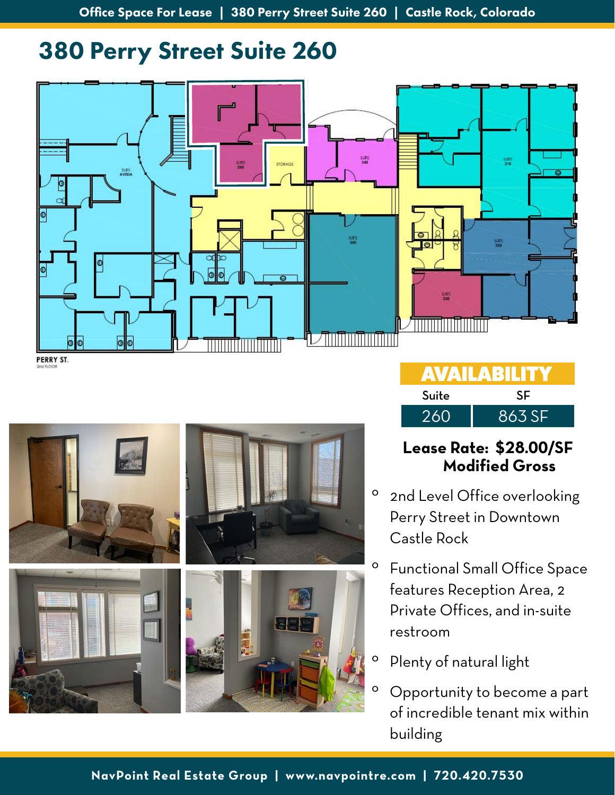### 380 Perry Street Suite 260





| <b>AVAILABILITY</b> |        |  |  |
|---------------------|--------|--|--|
| Suite               | SF     |  |  |
| 260                 | 863 SF |  |  |

### **Lease Rate: \$28.00/SF Modified Gross**

- <sup>o</sup> 2nd Level Office overlooking Perry Street in Downtown Castle Rock
- º Functional Small Office Space features Reception Area, 2 Private Offices, and in-suite restroom
- º Plenty of natural light
- Opportunity to become a part of incredible tenant mix within building